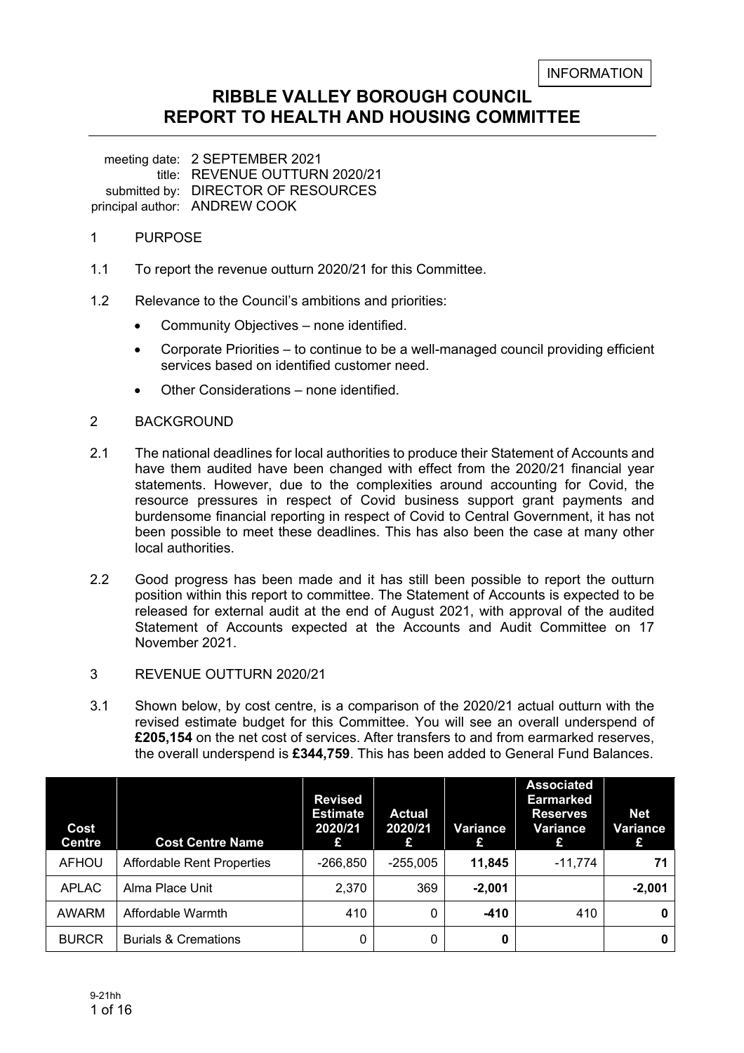# **RIBBLE VALLEY BOROUGH COUNCIL REPORT TO HEALTH AND HOUSING COMMITTEE**

meeting date: 2 SEPTEMBER 2021 title: REVENUE OUTTURN 2020/21 submitted by: DIRECTOR OF RESOURCES principal author: ANDREW COOK

## 1 PURPOSE

- 1.1 To report the revenue outturn 2020/21 for this Committee.
- 1.2 Relevance to the Council's ambitions and priorities:
	- Community Objectives none identified.
	- Corporate Priorities to continue to be a well-managed council providing efficient services based on identified customer need.
	- Other Considerations none identified.

## 2 BACKGROUND

- 2.1 The national deadlines for local authorities to produce their Statement of Accounts and have them audited have been changed with effect from the 2020/21 financial year statements. However, due to the complexities around accounting for Covid, the resource pressures in respect of Covid business support grant payments and burdensome financial reporting in respect of Covid to Central Government, it has not been possible to meet these deadlines. This has also been the case at many other local authorities.
- 2.2 Good progress has been made and it has still been possible to report the outturn position within this report to committee. The Statement of Accounts is expected to be released for external audit at the end of August 2021, with approval of the audited Statement of Accounts expected at the Accounts and Audit Committee on 17 November 2021.
- 3 REVENUE OUTTURN 2020/21
- 3.1 Shown below, by cost centre, is a comparison of the 2020/21 actual outturn with the revised estimate budget for this Committee. You will see an overall underspend of **£205,154** on the net cost of services. After transfers to and from earmarked reserves, the overall underspend is **£344,759**. This has been added to General Fund Balances.

| Cost<br><b>Centre</b> | <b>Cost Centre Name</b>           | <b>Revised</b><br><b>Estimate</b><br>2020/21<br>£ | Actual<br>2020/21<br>£ | Variance<br>£ | <b>Associated</b><br><b>Earmarked</b><br><b>Reserves</b><br>Variance<br>£ | <b>Net</b><br>Variance<br>£ |
|-----------------------|-----------------------------------|---------------------------------------------------|------------------------|---------------|---------------------------------------------------------------------------|-----------------------------|
| <b>AFHOU</b>          | <b>Affordable Rent Properties</b> | -266.850                                          | $-255.005$             | 11,845        | $-11,774$                                                                 | 71                          |
| <b>APLAC</b>          | Alma Place Unit                   | 2,370                                             | 369                    | $-2,001$      |                                                                           | $-2,001$                    |
| AWARM                 | Affordable Warmth                 | 410                                               | 0                      | $-410$        | 410                                                                       | 0                           |
| <b>BURCR</b>          | <b>Burials &amp; Cremations</b>   | 0                                                 | 0                      | 0             |                                                                           | 0                           |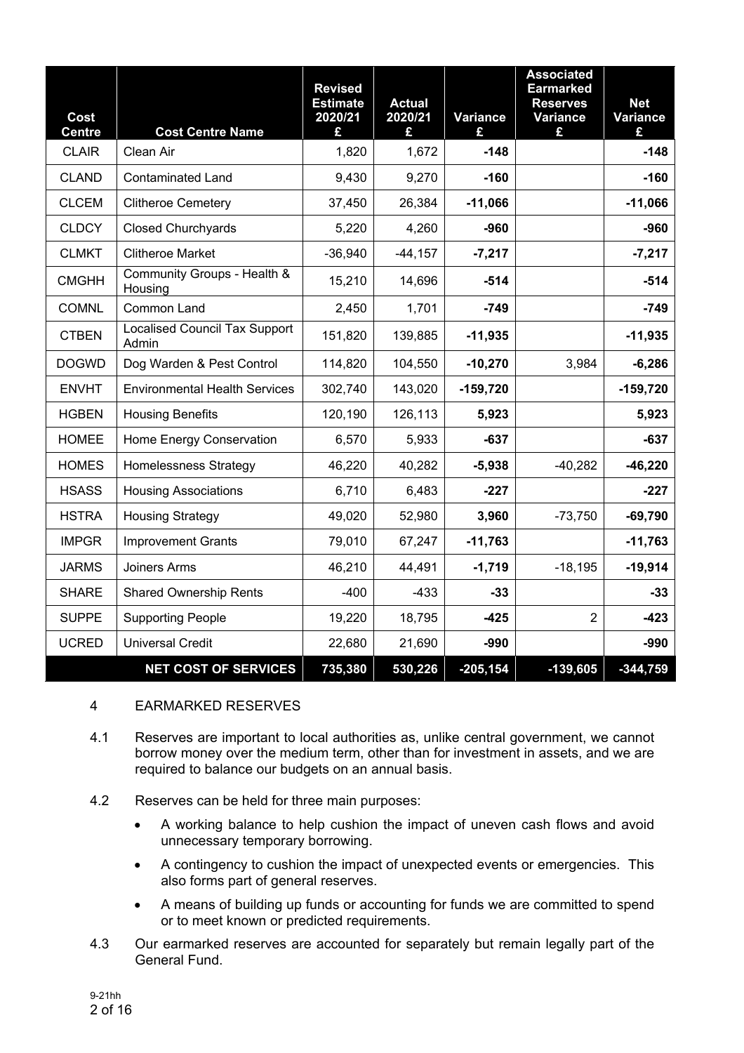| Cost<br><b>Centre</b> | <b>Cost Centre Name</b>                       | <b>Revised</b><br><b>Estimate</b><br>2020/21<br>£ | <b>Actual</b><br>2020/21<br>£ | <b>Variance</b><br>£ | <b>Associated</b><br><b>Earmarked</b><br><b>Reserves</b><br><b>Variance</b><br>£ | <b>Net</b><br><b>Variance</b><br>£ |
|-----------------------|-----------------------------------------------|---------------------------------------------------|-------------------------------|----------------------|----------------------------------------------------------------------------------|------------------------------------|
| <b>CLAIR</b>          | Clean Air                                     | 1,820                                             | 1,672                         | $-148$               |                                                                                  | $-148$                             |
| <b>CLAND</b>          | <b>Contaminated Land</b>                      | 9,430                                             | 9,270                         | $-160$               |                                                                                  | $-160$                             |
| <b>CLCEM</b>          | <b>Clitheroe Cemetery</b>                     | 37,450                                            | 26,384                        | $-11,066$            |                                                                                  | $-11,066$                          |
| <b>CLDCY</b>          | <b>Closed Churchyards</b>                     | 5,220                                             | 4,260                         | $-960$               |                                                                                  | $-960$                             |
| <b>CLMKT</b>          | <b>Clitheroe Market</b>                       | $-36,940$                                         | $-44, 157$                    | $-7,217$             |                                                                                  | $-7,217$                           |
| <b>CMGHH</b>          | Community Groups - Health &<br>Housing        | 15,210                                            | 14,696                        | $-514$               |                                                                                  | $-514$                             |
| <b>COMNL</b>          | Common Land                                   | 2,450                                             | 1,701                         | $-749$               |                                                                                  | $-749$                             |
| <b>CTBEN</b>          | <b>Localised Council Tax Support</b><br>Admin | 151,820                                           | 139,885                       | $-11,935$            |                                                                                  | $-11,935$                          |
| <b>DOGWD</b>          | Dog Warden & Pest Control                     | 114,820                                           | 104,550                       | $-10,270$            | 3,984                                                                            | $-6,286$                           |
| <b>ENVHT</b>          | <b>Environmental Health Services</b>          | 302,740                                           | 143,020                       | $-159,720$           |                                                                                  | $-159,720$                         |
| <b>HGBEN</b>          | <b>Housing Benefits</b>                       | 120,190                                           | 126,113                       | 5,923                |                                                                                  | 5,923                              |
| <b>HOMEE</b>          | Home Energy Conservation                      | 6,570                                             | 5,933                         | $-637$               |                                                                                  | $-637$                             |
| <b>HOMES</b>          | <b>Homelessness Strategy</b>                  | 46,220                                            | 40,282                        | $-5,938$             | $-40,282$                                                                        | $-46,220$                          |
| <b>HSASS</b>          | <b>Housing Associations</b>                   | 6,710                                             | 6,483                         | $-227$               |                                                                                  | $-227$                             |
| <b>HSTRA</b>          | <b>Housing Strategy</b>                       | 49,020                                            | 52,980                        | 3,960                | $-73,750$                                                                        | $-69,790$                          |
| <b>IMPGR</b>          | <b>Improvement Grants</b>                     | 79,010                                            | 67,247                        | $-11,763$            |                                                                                  | $-11,763$                          |
| <b>JARMS</b>          | Joiners Arms                                  | 46,210                                            | 44,491                        | $-1,719$             | $-18,195$                                                                        | $-19,914$                          |
| <b>SHARE</b>          | <b>Shared Ownership Rents</b>                 | $-400$                                            | $-433$                        | $-33$                |                                                                                  | -33                                |
| <b>SUPPE</b>          | <b>Supporting People</b>                      | 19,220                                            | 18,795                        | $-425$               | $\overline{2}$                                                                   | $-423$                             |
| <b>UCRED</b>          | <b>Universal Credit</b>                       | 22,680                                            | 21,690                        | $-990$               |                                                                                  | $-990$                             |
|                       | <b>NET COST OF SERVICES</b>                   | 735,380                                           | 530,226                       | $-205,154$           | $-139,605$                                                                       | $-344,759$                         |

# 4 EARMARKED RESERVES

- 4.1 Reserves are important to local authorities as, unlike central government, we cannot borrow money over the medium term, other than for investment in assets, and we are required to balance our budgets on an annual basis.
- 4.2 Reserves can be held for three main purposes:
	- A working balance to help cushion the impact of uneven cash flows and avoid unnecessary temporary borrowing.
	- A contingency to cushion the impact of unexpected events or emergencies. This also forms part of general reserves.
	- A means of building up funds or accounting for funds we are committed to spend or to meet known or predicted requirements.
- 4.3 Our earmarked reserves are accounted for separately but remain legally part of the General Fund.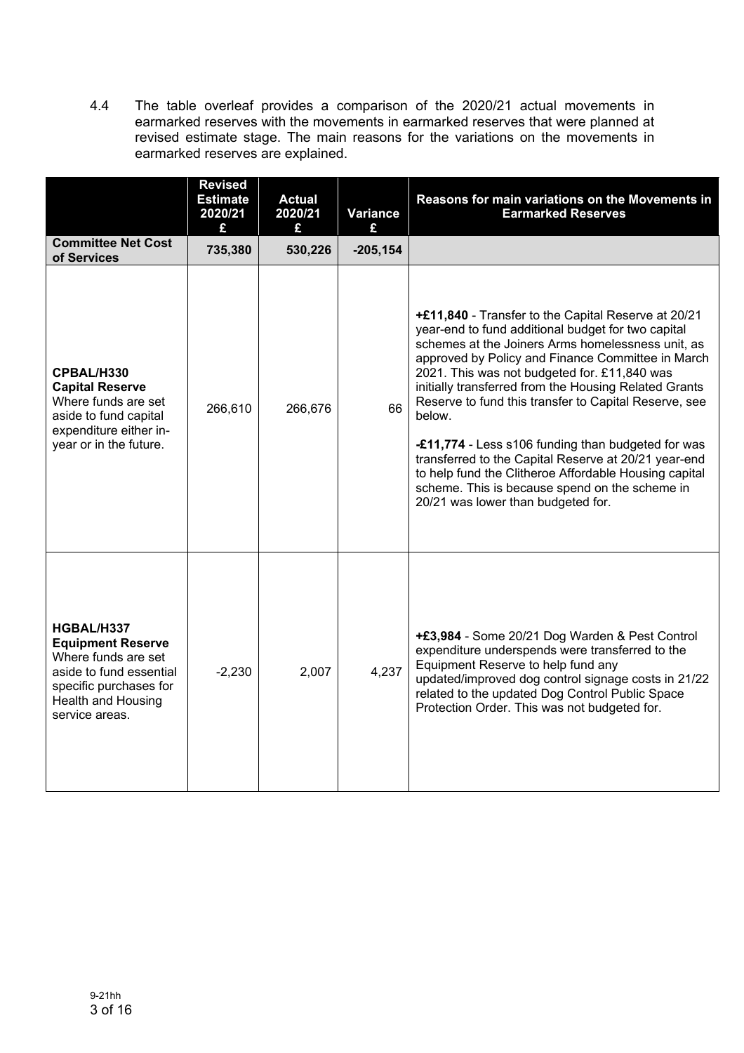4.4 The table overleaf provides a comparison of the 2020/21 actual movements in earmarked reserves with the movements in earmarked reserves that were planned at revised estimate stage. The main reasons for the variations on the movements in earmarked reserves are explained.

|                                                                                                                                                            | <b>Revised</b><br><b>Estimate</b><br>2020/21<br>£ | <b>Actual</b><br>2020/21<br>£ | <b>Variance</b><br>£ | Reasons for main variations on the Movements in<br><b>Earmarked Reserves</b>                                                                                                                                                                                                                                                                                                                                                                                                                                                                                                                                                                                   |
|------------------------------------------------------------------------------------------------------------------------------------------------------------|---------------------------------------------------|-------------------------------|----------------------|----------------------------------------------------------------------------------------------------------------------------------------------------------------------------------------------------------------------------------------------------------------------------------------------------------------------------------------------------------------------------------------------------------------------------------------------------------------------------------------------------------------------------------------------------------------------------------------------------------------------------------------------------------------|
| <b>Committee Net Cost</b><br>of Services                                                                                                                   | 735,380                                           | 530,226                       | $-205, 154$          |                                                                                                                                                                                                                                                                                                                                                                                                                                                                                                                                                                                                                                                                |
| CPBAL/H330<br><b>Capital Reserve</b><br>Where funds are set<br>aside to fund capital<br>expenditure either in-<br>year or in the future.                   | 266,610                                           | 266,676                       | 66                   | +£11,840 - Transfer to the Capital Reserve at 20/21<br>year-end to fund additional budget for two capital<br>schemes at the Joiners Arms homelessness unit, as<br>approved by Policy and Finance Committee in March<br>2021. This was not budgeted for. £11,840 was<br>initially transferred from the Housing Related Grants<br>Reserve to fund this transfer to Capital Reserve, see<br>below.<br>-£11,774 - Less s106 funding than budgeted for was<br>transferred to the Capital Reserve at 20/21 year-end<br>to help fund the Clitheroe Affordable Housing capital<br>scheme. This is because spend on the scheme in<br>20/21 was lower than budgeted for. |
| HGBAL/H337<br><b>Equipment Reserve</b><br>Where funds are set<br>aside to fund essential<br>specific purchases for<br>Health and Housing<br>service areas. | $-2,230$                                          | 2,007                         | 4,237                | +£3,984 - Some 20/21 Dog Warden & Pest Control<br>expenditure underspends were transferred to the<br>Equipment Reserve to help fund any<br>updated/improved dog control signage costs in 21/22<br>related to the updated Dog Control Public Space<br>Protection Order. This was not budgeted for.                                                                                                                                                                                                                                                                                                                                                              |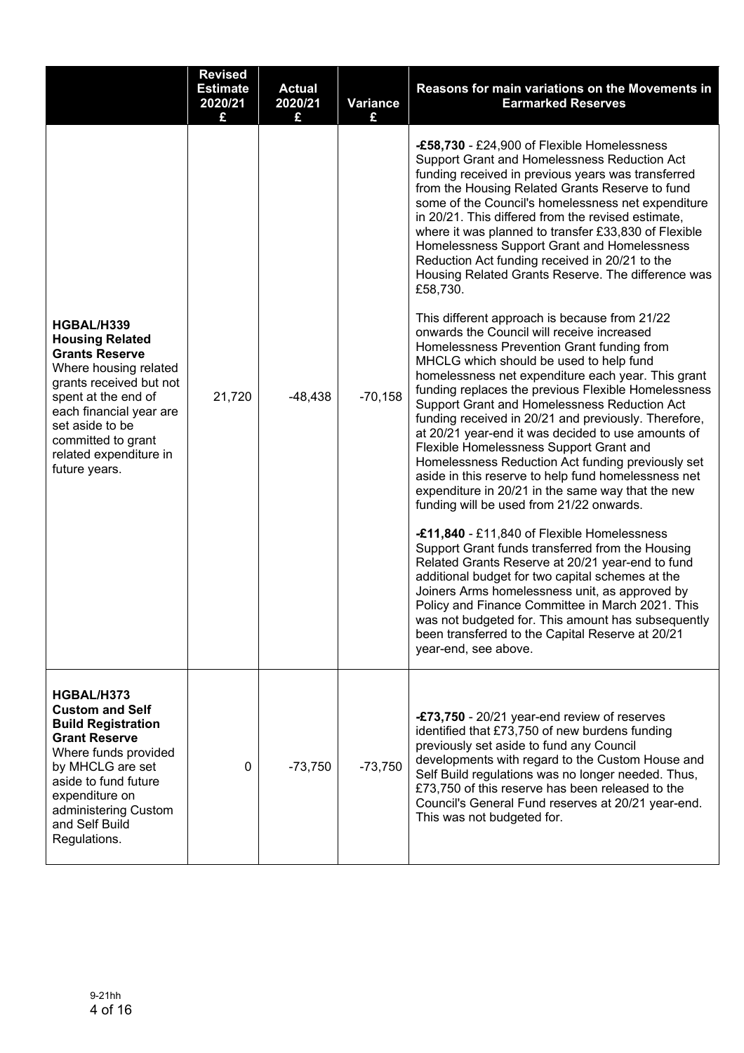|                                                                                                                                                                                                                                                         | <b>Revised</b><br><b>Estimate</b><br>2020/21<br>£ | <b>Actual</b><br>2020/21<br>£ | <b>Variance</b><br>£ | Reasons for main variations on the Movements in<br><b>Earmarked Reserves</b>                                                                                                                                                                                                                                                                                                                                                                                                                                                                                                                                                                                                                                                                                                                                                                                                                                                                                                                                                                                                                                                                                                                                                                                                                                                                                                                                                                                                                                                                                                                                                                                                                                              |
|---------------------------------------------------------------------------------------------------------------------------------------------------------------------------------------------------------------------------------------------------------|---------------------------------------------------|-------------------------------|----------------------|---------------------------------------------------------------------------------------------------------------------------------------------------------------------------------------------------------------------------------------------------------------------------------------------------------------------------------------------------------------------------------------------------------------------------------------------------------------------------------------------------------------------------------------------------------------------------------------------------------------------------------------------------------------------------------------------------------------------------------------------------------------------------------------------------------------------------------------------------------------------------------------------------------------------------------------------------------------------------------------------------------------------------------------------------------------------------------------------------------------------------------------------------------------------------------------------------------------------------------------------------------------------------------------------------------------------------------------------------------------------------------------------------------------------------------------------------------------------------------------------------------------------------------------------------------------------------------------------------------------------------------------------------------------------------------------------------------------------------|
| HGBAL/H339<br><b>Housing Related</b><br><b>Grants Reserve</b><br>Where housing related<br>grants received but not<br>spent at the end of<br>each financial year are<br>set aside to be<br>committed to grant<br>related expenditure in<br>future years. | 21,720                                            | $-48,438$                     | $-70,158$            | -£58,730 - £24,900 of Flexible Homelessness<br>Support Grant and Homelessness Reduction Act<br>funding received in previous years was transferred<br>from the Housing Related Grants Reserve to fund<br>some of the Council's homelessness net expenditure<br>in 20/21. This differed from the revised estimate,<br>where it was planned to transfer £33,830 of Flexible<br>Homelessness Support Grant and Homelessness<br>Reduction Act funding received in 20/21 to the<br>Housing Related Grants Reserve. The difference was<br>£58,730.<br>This different approach is because from 21/22<br>onwards the Council will receive increased<br>Homelessness Prevention Grant funding from<br>MHCLG which should be used to help fund<br>homelessness net expenditure each year. This grant<br>funding replaces the previous Flexible Homelessness<br>Support Grant and Homelessness Reduction Act<br>funding received in 20/21 and previously. Therefore,<br>at 20/21 year-end it was decided to use amounts of<br>Flexible Homelessness Support Grant and<br>Homelessness Reduction Act funding previously set<br>aside in this reserve to help fund homelessness net<br>expenditure in 20/21 in the same way that the new<br>funding will be used from 21/22 onwards.<br>-£11,840 - £11,840 of Flexible Homelessness<br>Support Grant funds transferred from the Housing<br>Related Grants Reserve at 20/21 year-end to fund<br>additional budget for two capital schemes at the<br>Joiners Arms homelessness unit, as approved by<br>Policy and Finance Committee in March 2021. This<br>was not budgeted for. This amount has subsequently<br>been transferred to the Capital Reserve at 20/21<br>year-end, see above. |
| HGBAL/H373<br><b>Custom and Self</b><br><b>Build Registration</b><br><b>Grant Reserve</b><br>Where funds provided<br>by MHCLG are set<br>aside to fund future<br>expenditure on<br>administering Custom<br>and Self Build<br>Regulations.               | 0                                                 | $-73,750$                     | $-73,750$            | -£73,750 - 20/21 year-end review of reserves<br>identified that £73,750 of new burdens funding<br>previously set aside to fund any Council<br>developments with regard to the Custom House and<br>Self Build regulations was no longer needed. Thus,<br>£73,750 of this reserve has been released to the<br>Council's General Fund reserves at 20/21 year-end.<br>This was not budgeted for.                                                                                                                                                                                                                                                                                                                                                                                                                                                                                                                                                                                                                                                                                                                                                                                                                                                                                                                                                                                                                                                                                                                                                                                                                                                                                                                              |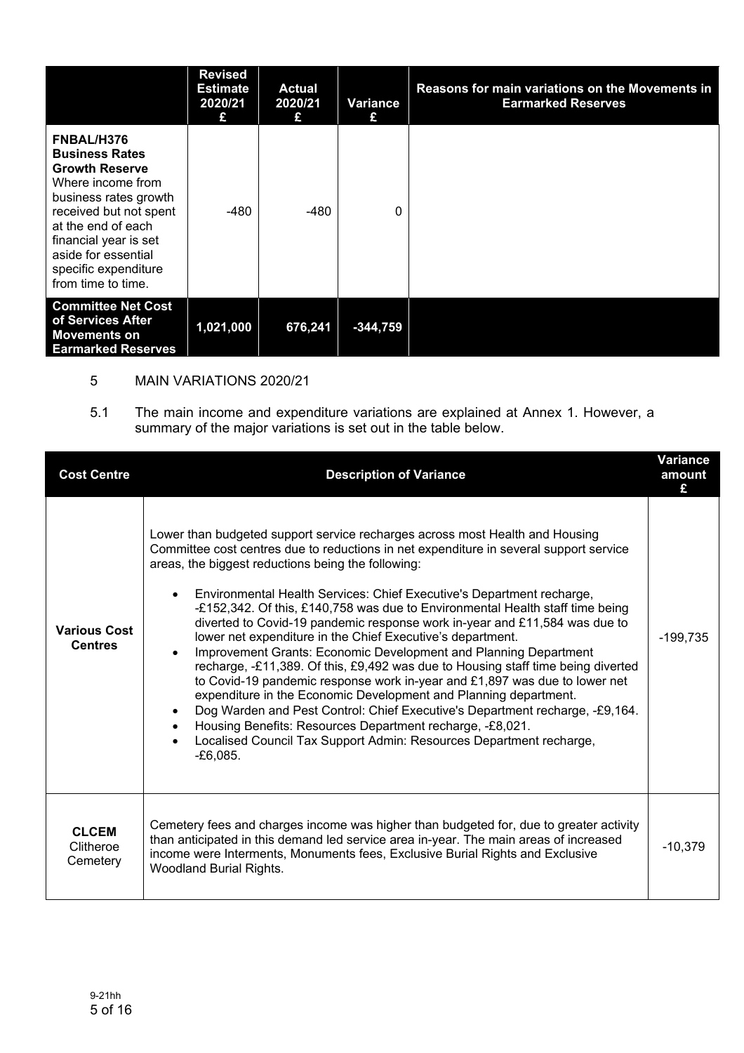|                                                                                                                                                                                                                                                          | <b>Revised</b><br><b>Estimate</b><br>2020/21<br>£ | <b>Actual</b><br>2020/21<br>£ | Variance<br>£ | Reasons for main variations on the Movements in<br><b>Earmarked Reserves</b> |
|----------------------------------------------------------------------------------------------------------------------------------------------------------------------------------------------------------------------------------------------------------|---------------------------------------------------|-------------------------------|---------------|------------------------------------------------------------------------------|
| FNBAL/H376<br><b>Business Rates</b><br><b>Growth Reserve</b><br>Where income from<br>business rates growth<br>received but not spent<br>at the end of each<br>financial year is set<br>aside for essential<br>specific expenditure<br>from time to time. | -480                                              | $-480$                        | 0             |                                                                              |
| <b>Committee Net Cost</b><br>of Services After<br><b>Movements on</b><br><b>Earmarked Reserves</b>                                                                                                                                                       | 1,021,000                                         | 676,241                       | $-344,759$    |                                                                              |

# 5 MAIN VARIATIONS 2020/21

5.1 The main income and expenditure variations are explained at Annex 1. However, a summary of the major variations is set out in the table below.

| <b>Cost Centre</b>                    | <b>Description of Variance</b>                                                                                                                                                                                                                                                                                                                                                                                                                                                                                                                                                                                                                                                                                                                                                                                                                                                                                                                                                                                                                                                                                        | Variance<br>amount |
|---------------------------------------|-----------------------------------------------------------------------------------------------------------------------------------------------------------------------------------------------------------------------------------------------------------------------------------------------------------------------------------------------------------------------------------------------------------------------------------------------------------------------------------------------------------------------------------------------------------------------------------------------------------------------------------------------------------------------------------------------------------------------------------------------------------------------------------------------------------------------------------------------------------------------------------------------------------------------------------------------------------------------------------------------------------------------------------------------------------------------------------------------------------------------|--------------------|
| <b>Various Cost</b><br><b>Centres</b> | Lower than budgeted support service recharges across most Health and Housing<br>Committee cost centres due to reductions in net expenditure in several support service<br>areas, the biggest reductions being the following:<br>Environmental Health Services: Chief Executive's Department recharge,<br>$\bullet$<br>-£152,342. Of this, £140,758 was due to Environmental Health staff time being<br>diverted to Covid-19 pandemic response work in-year and £11,584 was due to<br>lower net expenditure in the Chief Executive's department.<br>Improvement Grants: Economic Development and Planning Department<br>$\bullet$<br>recharge, -£11,389. Of this, £9,492 was due to Housing staff time being diverted<br>to Covid-19 pandemic response work in-year and £1,897 was due to lower net<br>expenditure in the Economic Development and Planning department.<br>Dog Warden and Pest Control: Chief Executive's Department recharge, -£9,164.<br>$\bullet$<br>Housing Benefits: Resources Department recharge, -£8,021.<br>Localised Council Tax Support Admin: Resources Department recharge,<br>$-E6.085.$ | $-199,735$         |
| <b>CLCEM</b><br>Clitheroe<br>Cemetery | Cemetery fees and charges income was higher than budgeted for, due to greater activity<br>than anticipated in this demand led service area in-year. The main areas of increased<br>income were Interments, Monuments fees, Exclusive Burial Rights and Exclusive<br><b>Woodland Burial Rights.</b>                                                                                                                                                                                                                                                                                                                                                                                                                                                                                                                                                                                                                                                                                                                                                                                                                    | $-10,379$          |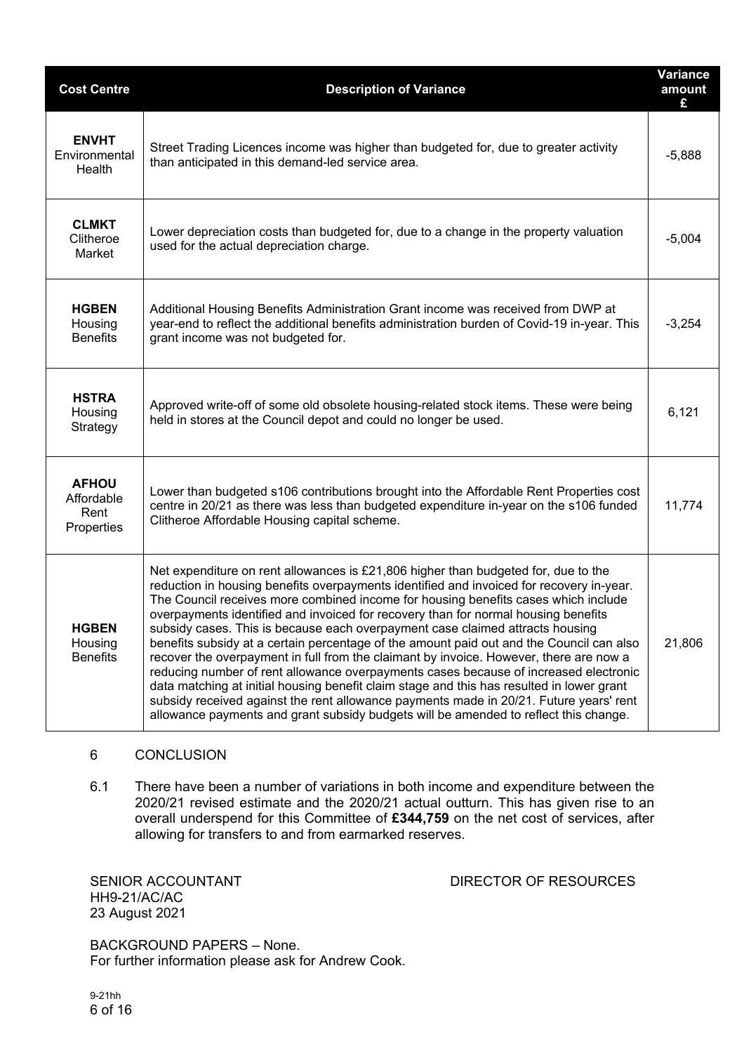| <b>Cost Centre</b>                               | <b>Description of Variance</b>                                                                                                                                                                                                                                                                                                                                                                                                                                                                                                                                                                                                                                                                                                                                                                                                                                                                                                                                                                           | <b>Variance</b><br>amount<br>£ |
|--------------------------------------------------|----------------------------------------------------------------------------------------------------------------------------------------------------------------------------------------------------------------------------------------------------------------------------------------------------------------------------------------------------------------------------------------------------------------------------------------------------------------------------------------------------------------------------------------------------------------------------------------------------------------------------------------------------------------------------------------------------------------------------------------------------------------------------------------------------------------------------------------------------------------------------------------------------------------------------------------------------------------------------------------------------------|--------------------------------|
| <b>ENVHT</b><br>Environmental<br>Health          | Street Trading Licences income was higher than budgeted for, due to greater activity<br>than anticipated in this demand-led service area.                                                                                                                                                                                                                                                                                                                                                                                                                                                                                                                                                                                                                                                                                                                                                                                                                                                                | $-5,888$                       |
| <b>CLMKT</b><br>Clitheroe<br>Market              | Lower depreciation costs than budgeted for, due to a change in the property valuation<br>used for the actual depreciation charge.                                                                                                                                                                                                                                                                                                                                                                                                                                                                                                                                                                                                                                                                                                                                                                                                                                                                        | $-5,004$                       |
| <b>HGBEN</b><br>Housing<br><b>Benefits</b>       | Additional Housing Benefits Administration Grant income was received from DWP at<br>year-end to reflect the additional benefits administration burden of Covid-19 in-year. This<br>grant income was not budgeted for.                                                                                                                                                                                                                                                                                                                                                                                                                                                                                                                                                                                                                                                                                                                                                                                    | $-3,254$                       |
| <b>HSTRA</b><br>Housing<br>Strategy              | Approved write-off of some old obsolete housing-related stock items. These were being<br>held in stores at the Council depot and could no longer be used.                                                                                                                                                                                                                                                                                                                                                                                                                                                                                                                                                                                                                                                                                                                                                                                                                                                | 6,121                          |
| <b>AFHOU</b><br>Affordable<br>Rent<br>Properties | Lower than budgeted s106 contributions brought into the Affordable Rent Properties cost<br>centre in 20/21 as there was less than budgeted expenditure in-year on the s106 funded<br>Clitheroe Affordable Housing capital scheme.                                                                                                                                                                                                                                                                                                                                                                                                                                                                                                                                                                                                                                                                                                                                                                        | 11,774                         |
| <b>HGBEN</b><br>Housing<br><b>Benefits</b>       | Net expenditure on rent allowances is £21,806 higher than budgeted for, due to the<br>reduction in housing benefits overpayments identified and invoiced for recovery in-year.<br>The Council receives more combined income for housing benefits cases which include<br>overpayments identified and invoiced for recovery than for normal housing benefits<br>subsidy cases. This is because each overpayment case claimed attracts housing<br>benefits subsidy at a certain percentage of the amount paid out and the Council can also<br>recover the overpayment in full from the claimant by invoice. However, there are now a<br>reducing number of rent allowance overpayments cases because of increased electronic<br>data matching at initial housing benefit claim stage and this has resulted in lower grant<br>subsidy received against the rent allowance payments made in 20/21. Future years' rent<br>allowance payments and grant subsidy budgets will be amended to reflect this change. | 21,806                         |

## 6 CONCLUSION

6.1 There have been a number of variations in both income and expenditure between the 2020/21 revised estimate and the 2020/21 actual outturn. This has given rise to an overall underspend for this Committee of **£344,759** on the net cost of services, after allowing for transfers to and from earmarked reserves.

HH9-21/AC/AC 23 August 2021

SENIOR ACCOUNTANT DIRECTOR OF RESOURCES

BACKGROUND PAPERS – None. For further information please ask for Andrew Cook.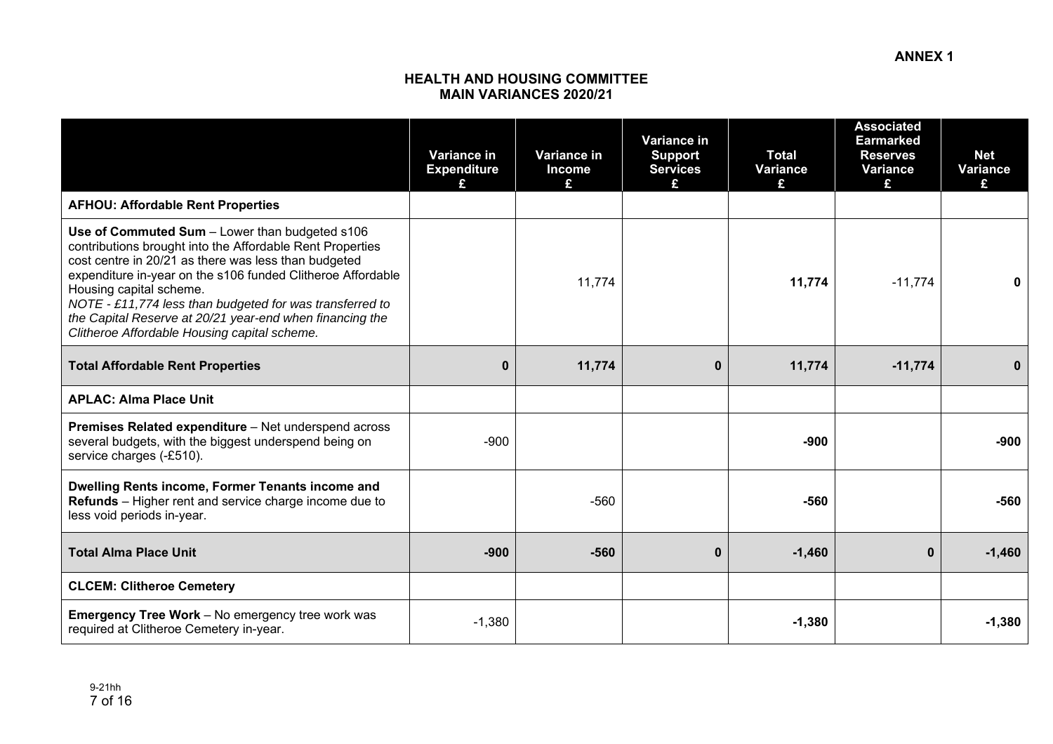#### **HEALTH AND HOUSING COMMITTEE MAIN VARIANCES 2020/21**

|                                                                                                                                                                                                                                                                                                                                                                                                                                       | <b>Variance in</b><br><b>Expenditure</b><br>£ | Variance in<br><b>Income</b><br>£ | Variance in<br><b>Support</b><br><b>Services</b> | <b>Total</b><br>Variance<br>£ | <b>Associated</b><br><b>Earmarked</b><br><b>Reserves</b><br>Variance<br>£ | <b>Net</b><br><b>Variance</b><br>£ |
|---------------------------------------------------------------------------------------------------------------------------------------------------------------------------------------------------------------------------------------------------------------------------------------------------------------------------------------------------------------------------------------------------------------------------------------|-----------------------------------------------|-----------------------------------|--------------------------------------------------|-------------------------------|---------------------------------------------------------------------------|------------------------------------|
| <b>AFHOU: Affordable Rent Properties</b>                                                                                                                                                                                                                                                                                                                                                                                              |                                               |                                   |                                                  |                               |                                                                           |                                    |
| Use of Commuted Sum - Lower than budgeted s106<br>contributions brought into the Affordable Rent Properties<br>cost centre in 20/21 as there was less than budgeted<br>expenditure in-year on the s106 funded Clitheroe Affordable<br>Housing capital scheme.<br>NOTE - £11,774 less than budgeted for was transferred to<br>the Capital Reserve at 20/21 year-end when financing the<br>Clitheroe Affordable Housing capital scheme. |                                               | 11,774                            |                                                  | 11,774                        | $-11,774$                                                                 | 0                                  |
| <b>Total Affordable Rent Properties</b>                                                                                                                                                                                                                                                                                                                                                                                               | $\bf{0}$                                      | 11,774                            | $\bf{0}$                                         | 11,774                        | $-11,774$                                                                 | 0                                  |
| <b>APLAC: Alma Place Unit</b>                                                                                                                                                                                                                                                                                                                                                                                                         |                                               |                                   |                                                  |                               |                                                                           |                                    |
| Premises Related expenditure - Net underspend across<br>several budgets, with the biggest underspend being on<br>service charges (-£510).                                                                                                                                                                                                                                                                                             | $-900$                                        |                                   |                                                  | $-900$                        |                                                                           | $-900$                             |
| Dwelling Rents income, Former Tenants income and<br>Refunds - Higher rent and service charge income due to<br>less void periods in-year.                                                                                                                                                                                                                                                                                              |                                               | $-560$                            |                                                  | $-560$                        |                                                                           | $-560$                             |
| <b>Total Alma Place Unit</b>                                                                                                                                                                                                                                                                                                                                                                                                          | $-900$                                        | $-560$                            | $\bf{0}$                                         | $-1,460$                      | $\mathbf 0$                                                               | $-1,460$                           |
| <b>CLCEM: Clitheroe Cemetery</b>                                                                                                                                                                                                                                                                                                                                                                                                      |                                               |                                   |                                                  |                               |                                                                           |                                    |
| <b>Emergency Tree Work</b> - No emergency tree work was<br>required at Clitheroe Cemetery in-year.                                                                                                                                                                                                                                                                                                                                    | $-1,380$                                      |                                   |                                                  | $-1,380$                      |                                                                           | $-1,380$                           |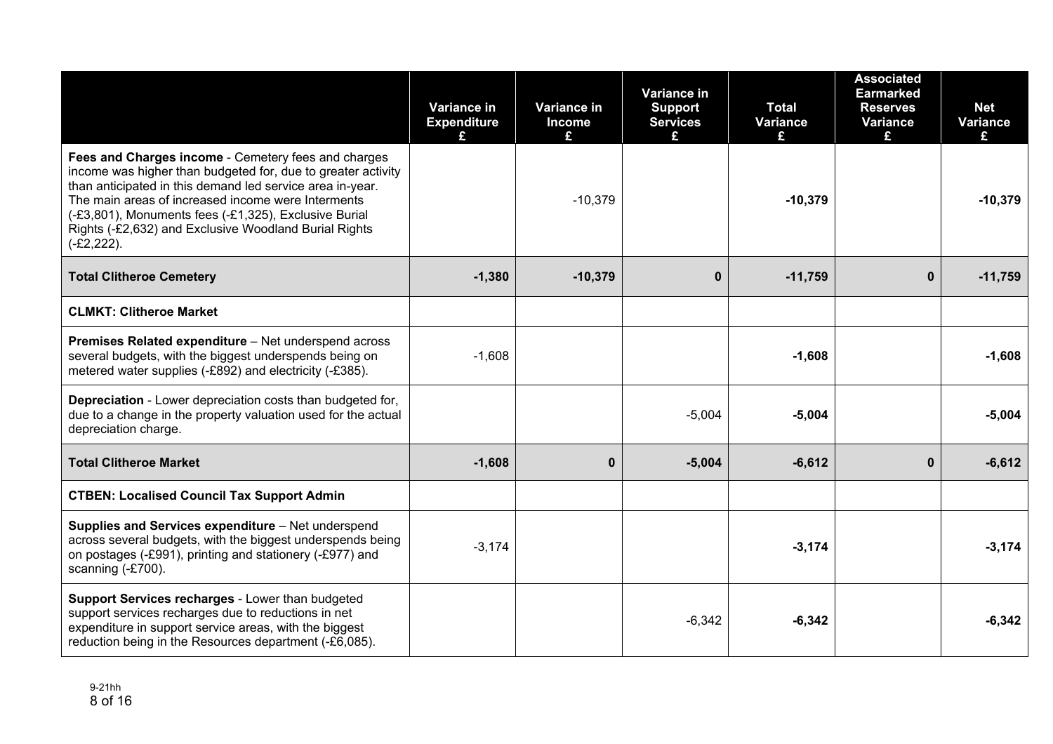|                                                                                                                                                                                                                                                                                                                                                                          | Variance in<br><b>Expenditure</b> | Variance in<br><b>Income</b><br>£ | Variance in<br><b>Support</b><br><b>Services</b> | <b>Total</b><br><b>Variance</b> | <b>Associated</b><br><b>Earmarked</b><br><b>Reserves</b><br>Variance<br>£. | <b>Net</b><br><b>Variance</b><br>£ |
|--------------------------------------------------------------------------------------------------------------------------------------------------------------------------------------------------------------------------------------------------------------------------------------------------------------------------------------------------------------------------|-----------------------------------|-----------------------------------|--------------------------------------------------|---------------------------------|----------------------------------------------------------------------------|------------------------------------|
| Fees and Charges income - Cemetery fees and charges<br>income was higher than budgeted for, due to greater activity<br>than anticipated in this demand led service area in-year.<br>The main areas of increased income were Interments<br>(-£3,801), Monuments fees (-£1,325), Exclusive Burial<br>Rights (-£2,632) and Exclusive Woodland Burial Rights<br>$(-£2,222).$ |                                   | $-10,379$                         |                                                  | $-10,379$                       |                                                                            | $-10,379$                          |
| <b>Total Clitheroe Cemetery</b>                                                                                                                                                                                                                                                                                                                                          | $-1,380$                          | $-10,379$                         | $\bf{0}$                                         | $-11,759$                       | $\mathbf 0$                                                                | $-11,759$                          |
| <b>CLMKT: Clitheroe Market</b>                                                                                                                                                                                                                                                                                                                                           |                                   |                                   |                                                  |                                 |                                                                            |                                    |
| Premises Related expenditure - Net underspend across<br>several budgets, with the biggest underspends being on<br>metered water supplies (-£892) and electricity (-£385).                                                                                                                                                                                                | $-1,608$                          |                                   |                                                  | $-1,608$                        |                                                                            | $-1,608$                           |
| <b>Depreciation</b> - Lower depreciation costs than budgeted for,<br>due to a change in the property valuation used for the actual<br>depreciation charge.                                                                                                                                                                                                               |                                   |                                   | $-5,004$                                         | $-5,004$                        |                                                                            | $-5,004$                           |
| <b>Total Clitheroe Market</b>                                                                                                                                                                                                                                                                                                                                            | $-1,608$                          | $\bf{0}$                          | $-5,004$                                         | $-6,612$                        | $\mathbf 0$                                                                | $-6,612$                           |
| <b>CTBEN: Localised Council Tax Support Admin</b>                                                                                                                                                                                                                                                                                                                        |                                   |                                   |                                                  |                                 |                                                                            |                                    |
| Supplies and Services expenditure - Net underspend<br>across several budgets, with the biggest underspends being<br>on postages (-£991), printing and stationery (-£977) and<br>scanning (-£700).                                                                                                                                                                        | $-3,174$                          |                                   |                                                  | $-3,174$                        |                                                                            | $-3,174$                           |
| Support Services recharges - Lower than budgeted<br>support services recharges due to reductions in net<br>expenditure in support service areas, with the biggest<br>reduction being in the Resources department (-£6,085).                                                                                                                                              |                                   |                                   | $-6,342$                                         | $-6,342$                        |                                                                            | $-6,342$                           |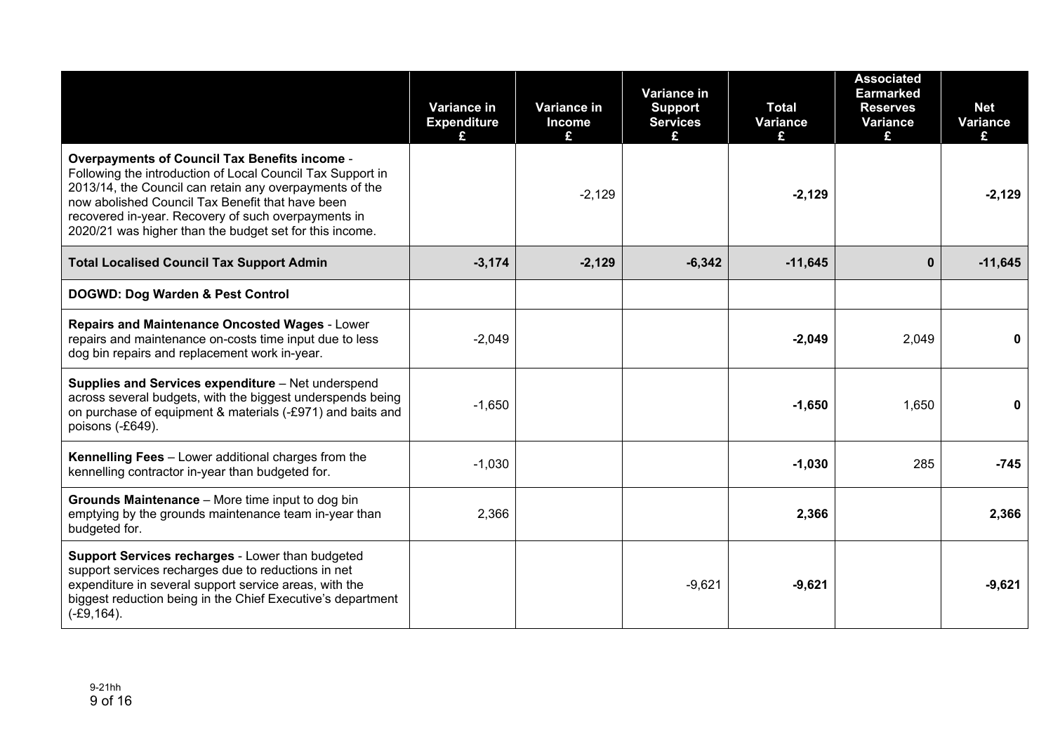|                                                                                                                                                                                                                                                                                                                                                     | <b>Variance in</b><br><b>Expenditure</b> | Variance in<br><b>Income</b><br>£ | Variance in<br><b>Support</b><br><b>Services</b><br>£. | <b>Total</b><br>Variance<br>£ | <b>Associated</b><br><b>Earmarked</b><br><b>Reserves</b><br>Variance<br>£ | <b>Net</b><br><b>Variance</b><br>£. |
|-----------------------------------------------------------------------------------------------------------------------------------------------------------------------------------------------------------------------------------------------------------------------------------------------------------------------------------------------------|------------------------------------------|-----------------------------------|--------------------------------------------------------|-------------------------------|---------------------------------------------------------------------------|-------------------------------------|
| <b>Overpayments of Council Tax Benefits income -</b><br>Following the introduction of Local Council Tax Support in<br>2013/14, the Council can retain any overpayments of the<br>now abolished Council Tax Benefit that have been<br>recovered in-year. Recovery of such overpayments in<br>2020/21 was higher than the budget set for this income. |                                          | $-2,129$                          |                                                        | $-2,129$                      |                                                                           | $-2,129$                            |
| <b>Total Localised Council Tax Support Admin</b>                                                                                                                                                                                                                                                                                                    | $-3,174$                                 | $-2,129$                          | $-6,342$                                               | $-11,645$                     | $\mathbf{0}$                                                              | $-11,645$                           |
| DOGWD: Dog Warden & Pest Control                                                                                                                                                                                                                                                                                                                    |                                          |                                   |                                                        |                               |                                                                           |                                     |
| Repairs and Maintenance Oncosted Wages - Lower<br>repairs and maintenance on-costs time input due to less<br>dog bin repairs and replacement work in-year.                                                                                                                                                                                          | $-2,049$                                 |                                   |                                                        | $-2,049$                      | 2,049                                                                     |                                     |
| Supplies and Services expenditure - Net underspend<br>across several budgets, with the biggest underspends being<br>on purchase of equipment & materials (-£971) and baits and<br>poisons (-£649).                                                                                                                                                  | $-1,650$                                 |                                   |                                                        | $-1,650$                      | 1,650                                                                     | 0                                   |
| Kennelling Fees - Lower additional charges from the<br>kennelling contractor in-year than budgeted for.                                                                                                                                                                                                                                             | $-1,030$                                 |                                   |                                                        | $-1,030$                      | 285                                                                       | $-745$                              |
| Grounds Maintenance - More time input to dog bin<br>emptying by the grounds maintenance team in-year than<br>budgeted for.                                                                                                                                                                                                                          | 2,366                                    |                                   |                                                        | 2,366                         |                                                                           | 2,366                               |
| Support Services recharges - Lower than budgeted<br>support services recharges due to reductions in net<br>expenditure in several support service areas, with the<br>biggest reduction being in the Chief Executive's department<br>$(-£9, 164).$                                                                                                   |                                          |                                   | $-9,621$                                               | $-9,621$                      |                                                                           | $-9,621$                            |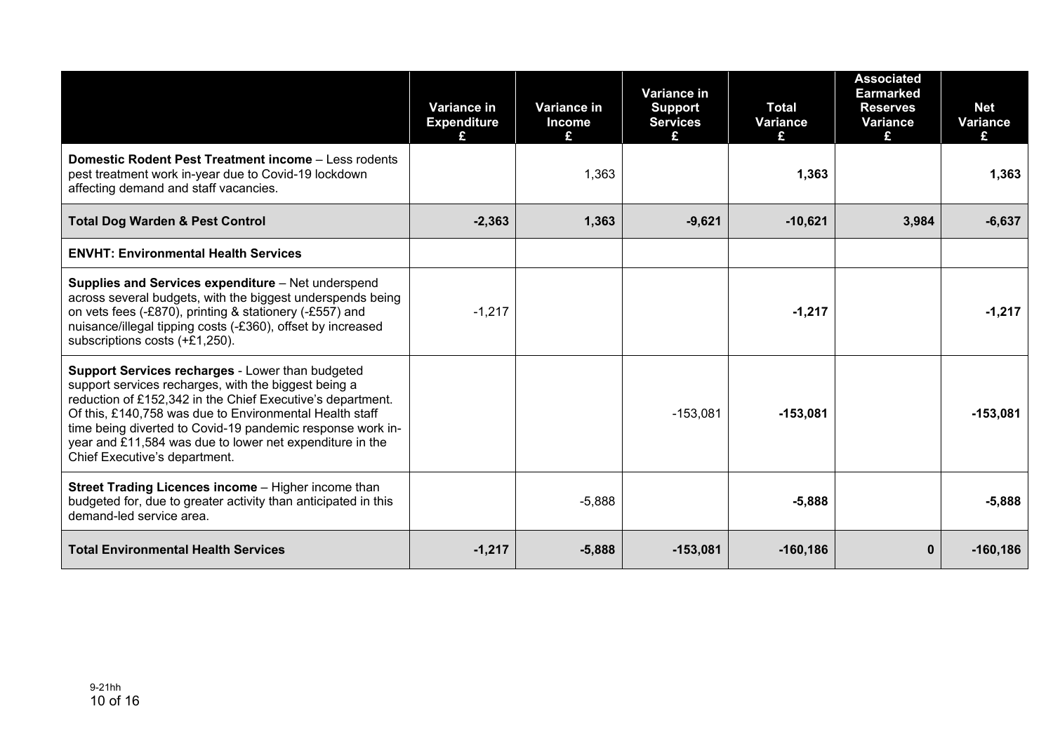|                                                                                                                                                                                                                                                                                                                                                                                              | Variance in<br><b>Expenditure</b> | Variance in<br><b>Income</b><br>£ | Variance in<br><b>Support</b><br><b>Services</b> | <b>Total</b><br><b>Variance</b><br>£ | <b>Associated</b><br><b>Earmarked</b><br><b>Reserves</b><br><b>Variance</b><br>£ | <b>Net</b><br>Variance<br>£ |
|----------------------------------------------------------------------------------------------------------------------------------------------------------------------------------------------------------------------------------------------------------------------------------------------------------------------------------------------------------------------------------------------|-----------------------------------|-----------------------------------|--------------------------------------------------|--------------------------------------|----------------------------------------------------------------------------------|-----------------------------|
| <b>Domestic Rodent Pest Treatment income - Less rodents</b><br>pest treatment work in-year due to Covid-19 lockdown<br>affecting demand and staff vacancies.                                                                                                                                                                                                                                 |                                   | 1,363                             |                                                  | 1,363                                |                                                                                  | 1,363                       |
| <b>Total Dog Warden &amp; Pest Control</b>                                                                                                                                                                                                                                                                                                                                                   | $-2,363$                          | 1,363                             | $-9,621$                                         | $-10,621$                            | 3,984                                                                            | $-6,637$                    |
| <b>ENVHT: Environmental Health Services</b>                                                                                                                                                                                                                                                                                                                                                  |                                   |                                   |                                                  |                                      |                                                                                  |                             |
| Supplies and Services expenditure - Net underspend<br>across several budgets, with the biggest underspends being<br>on vets fees (-£870), printing & stationery (-£557) and<br>nuisance/illegal tipping costs (-£360), offset by increased<br>subscriptions costs (+£1,250).                                                                                                                 | $-1,217$                          |                                   |                                                  | $-1,217$                             |                                                                                  | $-1,217$                    |
| Support Services recharges - Lower than budgeted<br>support services recharges, with the biggest being a<br>reduction of £152,342 in the Chief Executive's department.<br>Of this, £140,758 was due to Environmental Health staff<br>time being diverted to Covid-19 pandemic response work in-<br>year and £11,584 was due to lower net expenditure in the<br>Chief Executive's department. |                                   |                                   | $-153,081$                                       | $-153,081$                           |                                                                                  | $-153,081$                  |
| <b>Street Trading Licences income - Higher income than</b><br>budgeted for, due to greater activity than anticipated in this<br>demand-led service area.                                                                                                                                                                                                                                     |                                   | $-5,888$                          |                                                  | $-5,888$                             |                                                                                  | $-5,888$                    |
| <b>Total Environmental Health Services</b>                                                                                                                                                                                                                                                                                                                                                   | $-1,217$                          | $-5,888$                          | $-153,081$                                       | $-160, 186$                          | $\bf{0}$                                                                         | $-160, 186$                 |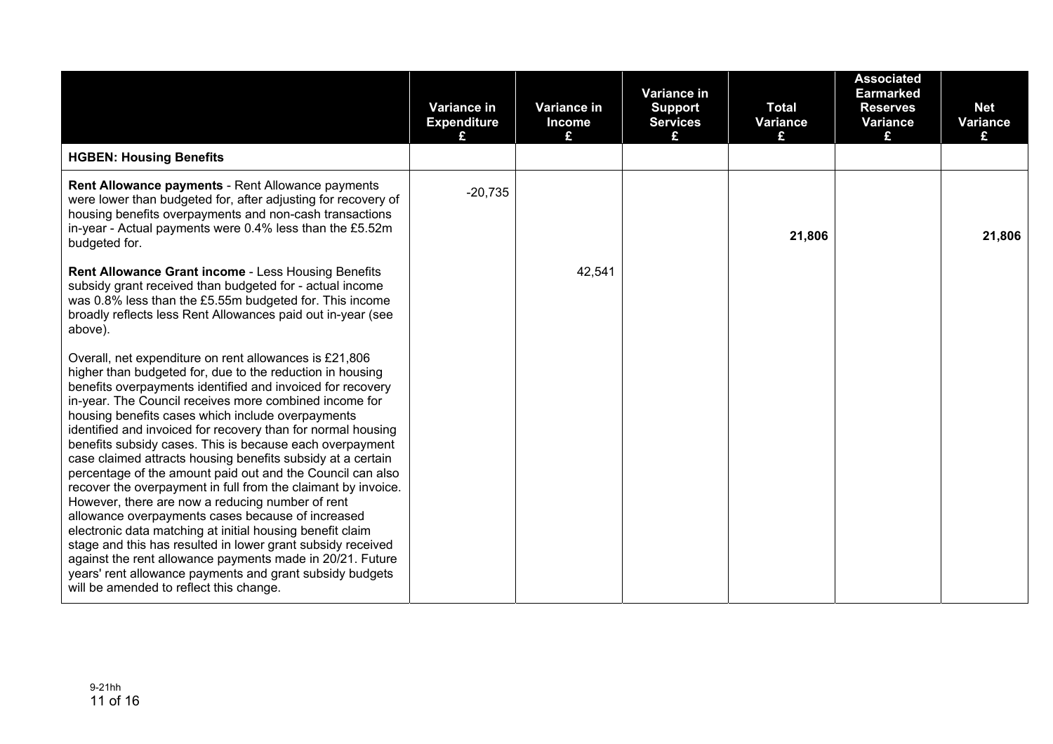|                                                                                                                                                                                                                                                                                                                                                                                                                                                                                                                                                                                                                                                                                                                                                                                                                                                                                                                                                                                                                                     | Variance in<br><b>Expenditure</b><br>£ | Variance in<br><b>Income</b><br>£ | Variance in<br><b>Support</b><br><b>Services</b><br>£ | <b>Total</b><br><b>Variance</b><br>£ | <b>Associated</b><br><b>Earmarked</b><br><b>Reserves</b><br><b>Variance</b><br>£ | <b>Net</b><br><b>Variance</b><br>£ |
|-------------------------------------------------------------------------------------------------------------------------------------------------------------------------------------------------------------------------------------------------------------------------------------------------------------------------------------------------------------------------------------------------------------------------------------------------------------------------------------------------------------------------------------------------------------------------------------------------------------------------------------------------------------------------------------------------------------------------------------------------------------------------------------------------------------------------------------------------------------------------------------------------------------------------------------------------------------------------------------------------------------------------------------|----------------------------------------|-----------------------------------|-------------------------------------------------------|--------------------------------------|----------------------------------------------------------------------------------|------------------------------------|
| <b>HGBEN: Housing Benefits</b>                                                                                                                                                                                                                                                                                                                                                                                                                                                                                                                                                                                                                                                                                                                                                                                                                                                                                                                                                                                                      |                                        |                                   |                                                       |                                      |                                                                                  |                                    |
| Rent Allowance payments - Rent Allowance payments<br>were lower than budgeted for, after adjusting for recovery of<br>housing benefits overpayments and non-cash transactions<br>in-year - Actual payments were 0.4% less than the £5.52m<br>budgeted for.                                                                                                                                                                                                                                                                                                                                                                                                                                                                                                                                                                                                                                                                                                                                                                          | $-20,735$                              |                                   |                                                       | 21,806                               |                                                                                  | 21,806                             |
| Rent Allowance Grant income - Less Housing Benefits<br>subsidy grant received than budgeted for - actual income<br>was 0.8% less than the £5.55m budgeted for. This income<br>broadly reflects less Rent Allowances paid out in-year (see<br>above).                                                                                                                                                                                                                                                                                                                                                                                                                                                                                                                                                                                                                                                                                                                                                                                |                                        | 42,541                            |                                                       |                                      |                                                                                  |                                    |
| Overall, net expenditure on rent allowances is £21,806<br>higher than budgeted for, due to the reduction in housing<br>benefits overpayments identified and invoiced for recovery<br>in-year. The Council receives more combined income for<br>housing benefits cases which include overpayments<br>identified and invoiced for recovery than for normal housing<br>benefits subsidy cases. This is because each overpayment<br>case claimed attracts housing benefits subsidy at a certain<br>percentage of the amount paid out and the Council can also<br>recover the overpayment in full from the claimant by invoice.<br>However, there are now a reducing number of rent<br>allowance overpayments cases because of increased<br>electronic data matching at initial housing benefit claim<br>stage and this has resulted in lower grant subsidy received<br>against the rent allowance payments made in 20/21. Future<br>years' rent allowance payments and grant subsidy budgets<br>will be amended to reflect this change. |                                        |                                   |                                                       |                                      |                                                                                  |                                    |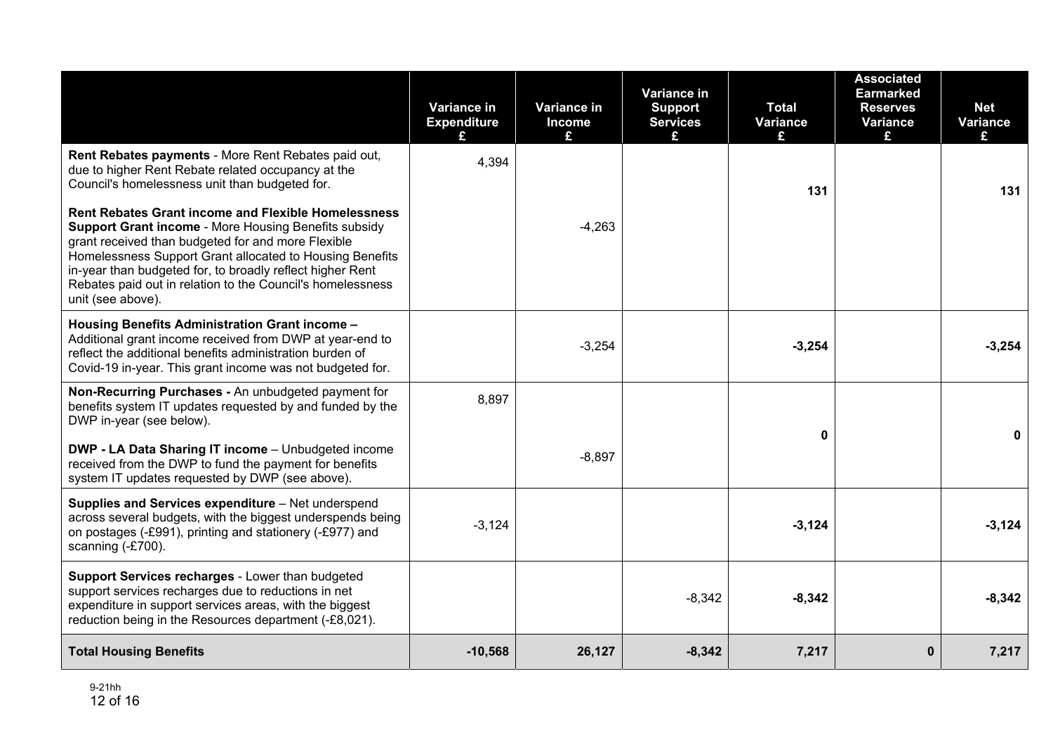|                                                                                                                                                                                                                                                                                                                                                                                             | Variance in<br><b>Expenditure</b> | <b>Variance in</b><br><b>Income</b><br>£ | Variance in<br><b>Support</b><br><b>Services</b><br>£ | <b>Total</b><br>Variance<br>£ | <b>Associated</b><br><b>Earmarked</b><br><b>Reserves</b><br>Variance<br>£ | <b>Net</b><br><b>Variance</b><br>£. |
|---------------------------------------------------------------------------------------------------------------------------------------------------------------------------------------------------------------------------------------------------------------------------------------------------------------------------------------------------------------------------------------------|-----------------------------------|------------------------------------------|-------------------------------------------------------|-------------------------------|---------------------------------------------------------------------------|-------------------------------------|
| Rent Rebates payments - More Rent Rebates paid out,<br>due to higher Rent Rebate related occupancy at the<br>Council's homelessness unit than budgeted for.                                                                                                                                                                                                                                 | 4,394                             |                                          |                                                       | 131                           |                                                                           | 131                                 |
| <b>Rent Rebates Grant income and Flexible Homelessness</b><br><b>Support Grant income - More Housing Benefits subsidy</b><br>grant received than budgeted for and more Flexible<br>Homelessness Support Grant allocated to Housing Benefits<br>in-year than budgeted for, to broadly reflect higher Rent<br>Rebates paid out in relation to the Council's homelessness<br>unit (see above). |                                   | $-4,263$                                 |                                                       |                               |                                                                           |                                     |
| Housing Benefits Administration Grant income -<br>Additional grant income received from DWP at year-end to<br>reflect the additional benefits administration burden of<br>Covid-19 in-year. This grant income was not budgeted for.                                                                                                                                                         |                                   | $-3,254$                                 |                                                       | $-3,254$                      |                                                                           | $-3,254$                            |
| Non-Recurring Purchases - An unbudgeted payment for<br>benefits system IT updates requested by and funded by the<br>DWP in-year (see below).<br>DWP - LA Data Sharing IT income - Unbudgeted income<br>received from the DWP to fund the payment for benefits                                                                                                                               | 8,897                             | $-8.897$                                 |                                                       | 0                             |                                                                           | 0                                   |
| system IT updates requested by DWP (see above).                                                                                                                                                                                                                                                                                                                                             |                                   |                                          |                                                       |                               |                                                                           |                                     |
| Supplies and Services expenditure - Net underspend<br>across several budgets, with the biggest underspends being<br>on postages (-£991), printing and stationery (-£977) and<br>scanning (-£700).                                                                                                                                                                                           | $-3,124$                          |                                          |                                                       | $-3,124$                      |                                                                           | $-3,124$                            |
| Support Services recharges - Lower than budgeted<br>support services recharges due to reductions in net<br>expenditure in support services areas, with the biggest<br>reduction being in the Resources department (-£8,021).                                                                                                                                                                |                                   |                                          | $-8,342$                                              | $-8,342$                      |                                                                           | $-8,342$                            |
| <b>Total Housing Benefits</b>                                                                                                                                                                                                                                                                                                                                                               | $-10,568$                         | 26,127                                   | $-8,342$                                              | 7,217                         | $\mathbf{0}$                                                              | 7,217                               |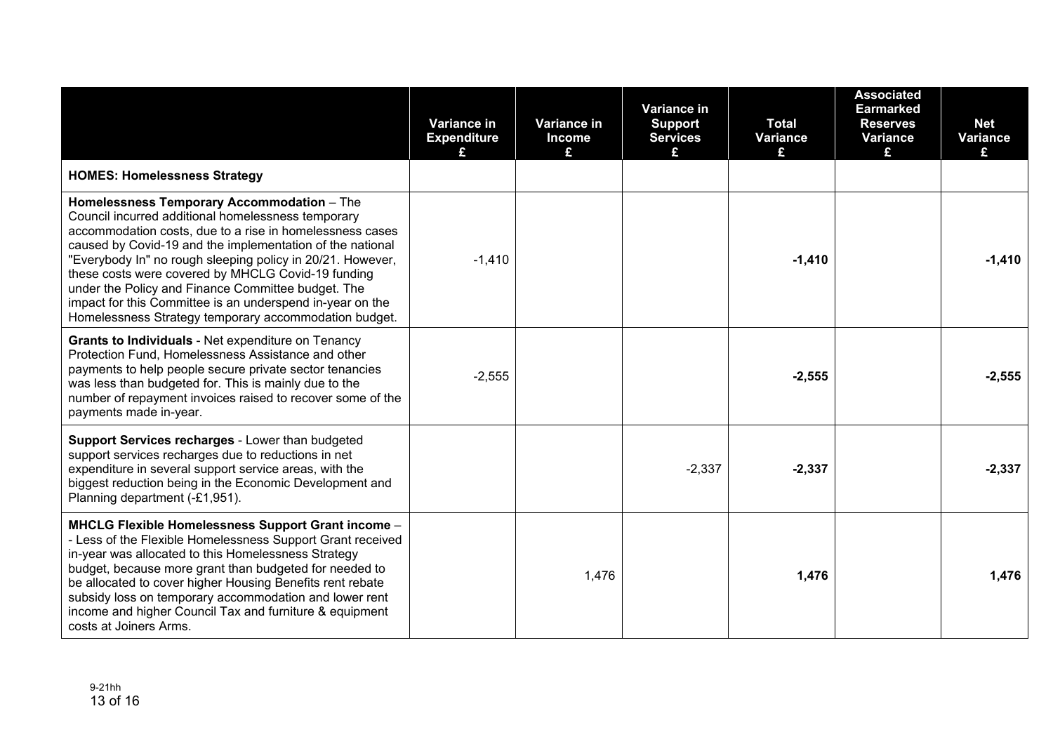|                                                                                                                                                                                                                                                                                                                                                                                                                                                                                                                           | Variance in<br><b>Expenditure</b> | Variance in<br><b>Income</b><br>£ | Variance in<br><b>Support</b><br><b>Services</b> | <b>Total</b><br><b>Variance</b><br>£ | <b>Associated</b><br><b>Earmarked</b><br><b>Reserves</b><br><b>Variance</b><br>£ | <b>Net</b><br>Variance<br>£ |
|---------------------------------------------------------------------------------------------------------------------------------------------------------------------------------------------------------------------------------------------------------------------------------------------------------------------------------------------------------------------------------------------------------------------------------------------------------------------------------------------------------------------------|-----------------------------------|-----------------------------------|--------------------------------------------------|--------------------------------------|----------------------------------------------------------------------------------|-----------------------------|
| <b>HOMES: Homelessness Strategy</b>                                                                                                                                                                                                                                                                                                                                                                                                                                                                                       |                                   |                                   |                                                  |                                      |                                                                                  |                             |
| Homelessness Temporary Accommodation - The<br>Council incurred additional homelessness temporary<br>accommodation costs, due to a rise in homelessness cases<br>caused by Covid-19 and the implementation of the national<br>"Everybody In" no rough sleeping policy in 20/21. However,<br>these costs were covered by MHCLG Covid-19 funding<br>under the Policy and Finance Committee budget. The<br>impact for this Committee is an underspend in-year on the<br>Homelessness Strategy temporary accommodation budget. | $-1,410$                          |                                   |                                                  | $-1,410$                             |                                                                                  | $-1,410$                    |
| Grants to Individuals - Net expenditure on Tenancy<br>Protection Fund, Homelessness Assistance and other<br>payments to help people secure private sector tenancies<br>was less than budgeted for. This is mainly due to the<br>number of repayment invoices raised to recover some of the<br>payments made in-year.                                                                                                                                                                                                      | $-2,555$                          |                                   |                                                  | $-2,555$                             |                                                                                  | $-2,555$                    |
| Support Services recharges - Lower than budgeted<br>support services recharges due to reductions in net<br>expenditure in several support service areas, with the<br>biggest reduction being in the Economic Development and<br>Planning department (-£1,951).                                                                                                                                                                                                                                                            |                                   |                                   | $-2,337$                                         | $-2,337$                             |                                                                                  | $-2,337$                    |
| MHCLG Flexible Homelessness Support Grant income -<br>- Less of the Flexible Homelessness Support Grant received<br>in-year was allocated to this Homelessness Strategy<br>budget, because more grant than budgeted for needed to<br>be allocated to cover higher Housing Benefits rent rebate<br>subsidy loss on temporary accommodation and lower rent<br>income and higher Council Tax and furniture & equipment<br>costs at Joiners Arms.                                                                             |                                   | 1,476                             |                                                  | 1,476                                |                                                                                  | 1,476                       |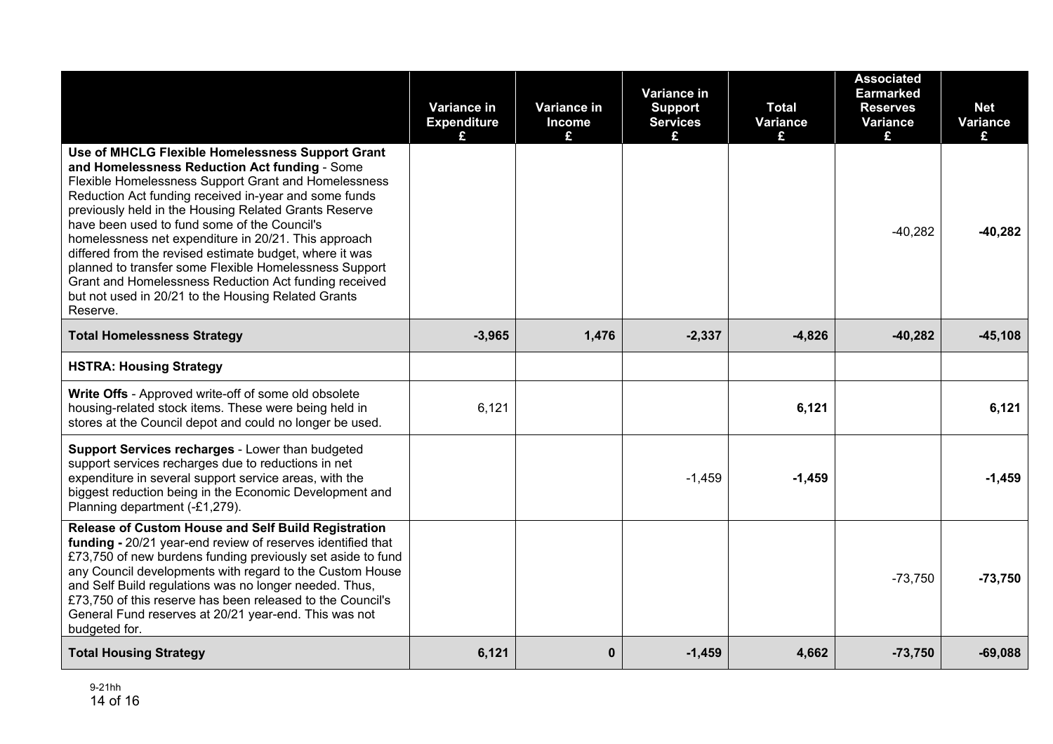|                                                                                                                                                                                                                                                                                                                                                                                                                                                                                                                                                                                                                                      | Variance in<br><b>Expenditure</b> | Variance in<br><b>Income</b><br>£ | Variance in<br><b>Support</b><br><b>Services</b> | <b>Total</b><br>Variance<br>£. | <b>Associated</b><br><b>Earmarked</b><br><b>Reserves</b><br>Variance<br>£ | <b>Net</b><br><b>Variance</b><br>£ |
|--------------------------------------------------------------------------------------------------------------------------------------------------------------------------------------------------------------------------------------------------------------------------------------------------------------------------------------------------------------------------------------------------------------------------------------------------------------------------------------------------------------------------------------------------------------------------------------------------------------------------------------|-----------------------------------|-----------------------------------|--------------------------------------------------|--------------------------------|---------------------------------------------------------------------------|------------------------------------|
| Use of MHCLG Flexible Homelessness Support Grant<br>and Homelessness Reduction Act funding - Some<br>Flexible Homelessness Support Grant and Homelessness<br>Reduction Act funding received in-year and some funds<br>previously held in the Housing Related Grants Reserve<br>have been used to fund some of the Council's<br>homelessness net expenditure in 20/21. This approach<br>differed from the revised estimate budget, where it was<br>planned to transfer some Flexible Homelessness Support<br>Grant and Homelessness Reduction Act funding received<br>but not used in 20/21 to the Housing Related Grants<br>Reserve. |                                   |                                   |                                                  |                                | $-40,282$                                                                 | $-40,282$                          |
| <b>Total Homelessness Strategy</b>                                                                                                                                                                                                                                                                                                                                                                                                                                                                                                                                                                                                   | $-3,965$                          | 1,476                             | $-2,337$                                         | $-4,826$                       | $-40,282$                                                                 | $-45,108$                          |
| <b>HSTRA: Housing Strategy</b>                                                                                                                                                                                                                                                                                                                                                                                                                                                                                                                                                                                                       |                                   |                                   |                                                  |                                |                                                                           |                                    |
| Write Offs - Approved write-off of some old obsolete<br>housing-related stock items. These were being held in<br>stores at the Council depot and could no longer be used.                                                                                                                                                                                                                                                                                                                                                                                                                                                            | 6,121                             |                                   |                                                  | 6,121                          |                                                                           | 6,121                              |
| Support Services recharges - Lower than budgeted<br>support services recharges due to reductions in net<br>expenditure in several support service areas, with the<br>biggest reduction being in the Economic Development and<br>Planning department (-£1,279).                                                                                                                                                                                                                                                                                                                                                                       |                                   |                                   | $-1,459$                                         | $-1,459$                       |                                                                           | $-1,459$                           |
| Release of Custom House and Self Build Registration<br>funding - 20/21 year-end review of reserves identified that<br>£73,750 of new burdens funding previously set aside to fund<br>any Council developments with regard to the Custom House<br>and Self Build regulations was no longer needed. Thus,<br>£73,750 of this reserve has been released to the Council's<br>General Fund reserves at 20/21 year-end. This was not<br>budgeted for.                                                                                                                                                                                      |                                   |                                   |                                                  |                                | $-73,750$                                                                 | $-73,750$                          |
| <b>Total Housing Strategy</b>                                                                                                                                                                                                                                                                                                                                                                                                                                                                                                                                                                                                        | 6,121                             | $\bf{0}$                          | $-1,459$                                         | 4,662                          | $-73,750$                                                                 | $-69,088$                          |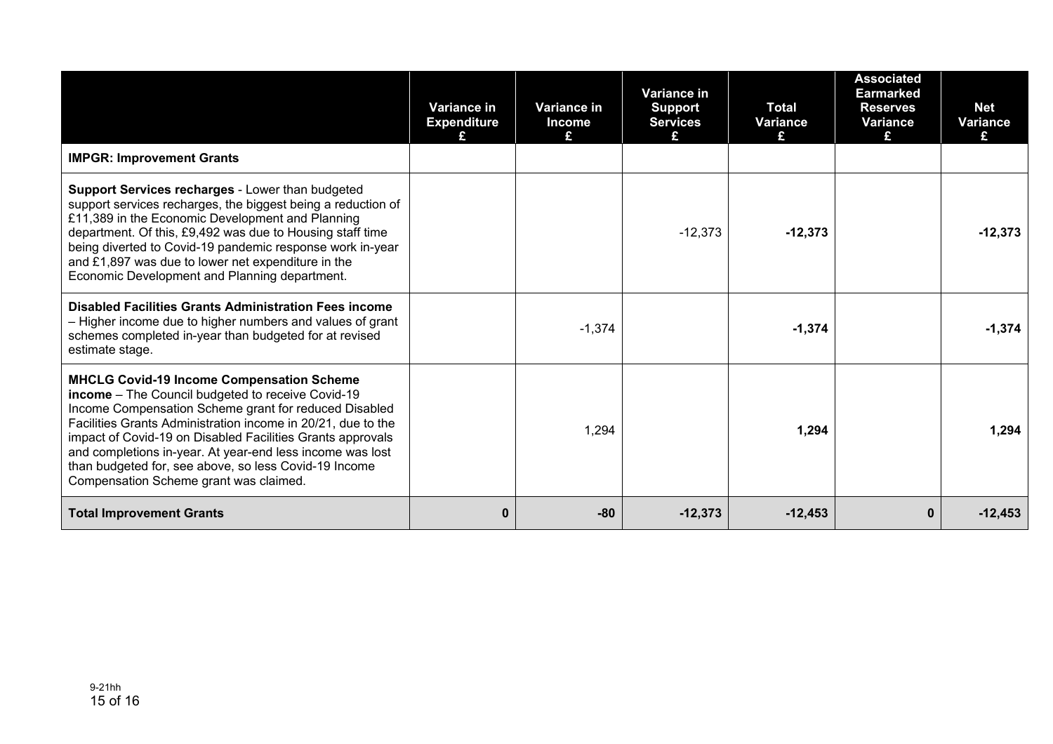|                                                                                                                                                                                                                                                                                                                                                                                                                                                              | Variance in<br><b>Expenditure</b> | Variance in<br><b>Income</b><br>£ | Variance in<br><b>Support</b><br><b>Services</b><br>£ | <b>Total</b><br>Variance<br>£. | <b>Associated</b><br>Earmarked<br><b>Reserves</b><br>Variance<br>£. | <b>Net</b><br>Variance<br>£ |
|--------------------------------------------------------------------------------------------------------------------------------------------------------------------------------------------------------------------------------------------------------------------------------------------------------------------------------------------------------------------------------------------------------------------------------------------------------------|-----------------------------------|-----------------------------------|-------------------------------------------------------|--------------------------------|---------------------------------------------------------------------|-----------------------------|
| <b>IMPGR: Improvement Grants</b>                                                                                                                                                                                                                                                                                                                                                                                                                             |                                   |                                   |                                                       |                                |                                                                     |                             |
| Support Services recharges - Lower than budgeted<br>support services recharges, the biggest being a reduction of<br>£11,389 in the Economic Development and Planning<br>department. Of this, £9,492 was due to Housing staff time<br>being diverted to Covid-19 pandemic response work in-year<br>and £1,897 was due to lower net expenditure in the<br>Economic Development and Planning department.                                                        |                                   |                                   | $-12,373$                                             | $-12,373$                      |                                                                     | $-12,373$                   |
| <b>Disabled Facilities Grants Administration Fees income</b><br>- Higher income due to higher numbers and values of grant<br>schemes completed in-year than budgeted for at revised<br>estimate stage.                                                                                                                                                                                                                                                       |                                   | $-1,374$                          |                                                       | $-1,374$                       |                                                                     | $-1,374$                    |
| <b>MHCLG Covid-19 Income Compensation Scheme</b><br>income - The Council budgeted to receive Covid-19<br>Income Compensation Scheme grant for reduced Disabled<br>Facilities Grants Administration income in 20/21, due to the<br>impact of Covid-19 on Disabled Facilities Grants approvals<br>and completions in-year. At year-end less income was lost<br>than budgeted for, see above, so less Covid-19 Income<br>Compensation Scheme grant was claimed. |                                   | 1,294                             |                                                       | 1,294                          |                                                                     | 1,294                       |
| <b>Total Improvement Grants</b>                                                                                                                                                                                                                                                                                                                                                                                                                              | $\mathbf{0}$                      | $-80$                             | $-12,373$                                             | $-12,453$                      | $\mathbf{0}$                                                        | $-12,453$                   |